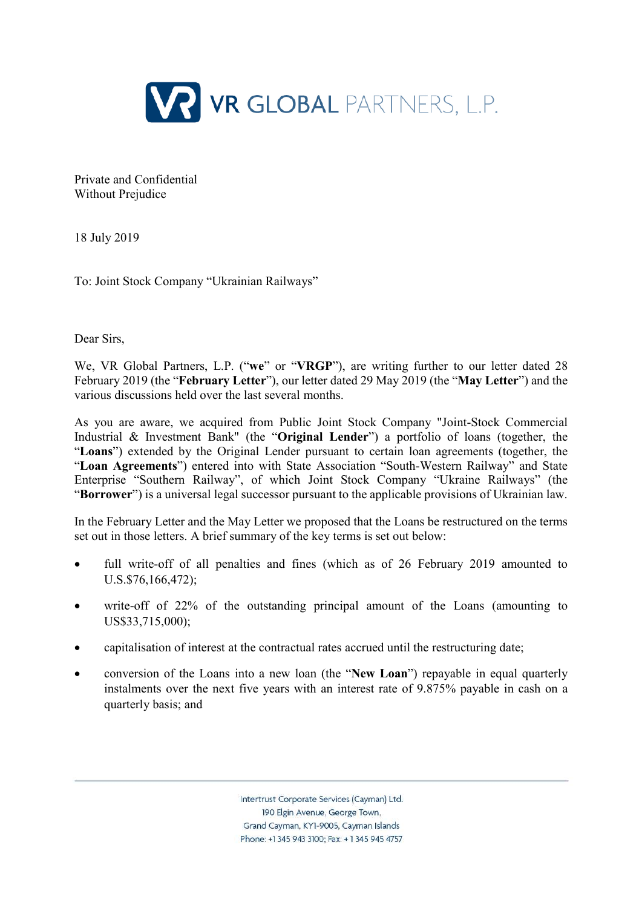

Private and Confidential Without Prejudice

18 July 2019

To: Joint Stock Company "Ukrainian Railways"

Dear Sirs

We, VR Global Partners, L.P. ("**we**" or "**VRGP**"), are writing further to our letter dated 28 February 2019 (the "**February Letter**"), our letter dated 29 May 2019 (the "**May Letter**") and the various discussions held over the last several months.

As you are aware, we acquired from Public Joint Stock Company "Joint-Stock Commercial Industrial & Investment Bank" (the "**Original Lender**") a portfolio of loans (together, the "**Loans**") extended by the Original Lender pursuant to certain loan agreements (together, the "**Loan Agreements**") entered into with State Association "South-Western Railway" and State Enterprise "Southern Railway", of which Joint Stock Company "Ukraine Railways" (the "**Borrower**") is a universal legal successor pursuant to the applicable provisions of Ukrainian law.

In the February Letter and the May Letter we proposed that the Loans be restructured on the terms set out in those letters. A brief summary of the key terms is set out below:

- full write-off of all penalties and fines (which as of 26 February 2019 amounted to U.S.\$76,166,472);
- write-off of 22% of the outstanding principal amount of the Loans (amounting to US\$33,715,000);
- capitalisation of interest at the contractual rates accrued until the restructuring date;
- conversion of the Loans into a new loan (the "**New Loan**") repayable in equal quarterly instalments over the next five years with an interest rate of 9.875% payable in cash on a quarterly basis; and

Intertrust Corporate Services (Cayman) Ltd. 190 Elgin Avenue, George Town. Grand Cayman, KY1-9005, Cayman Islands Phone: +1 345 943 3100: Fax: +1 345 945 4757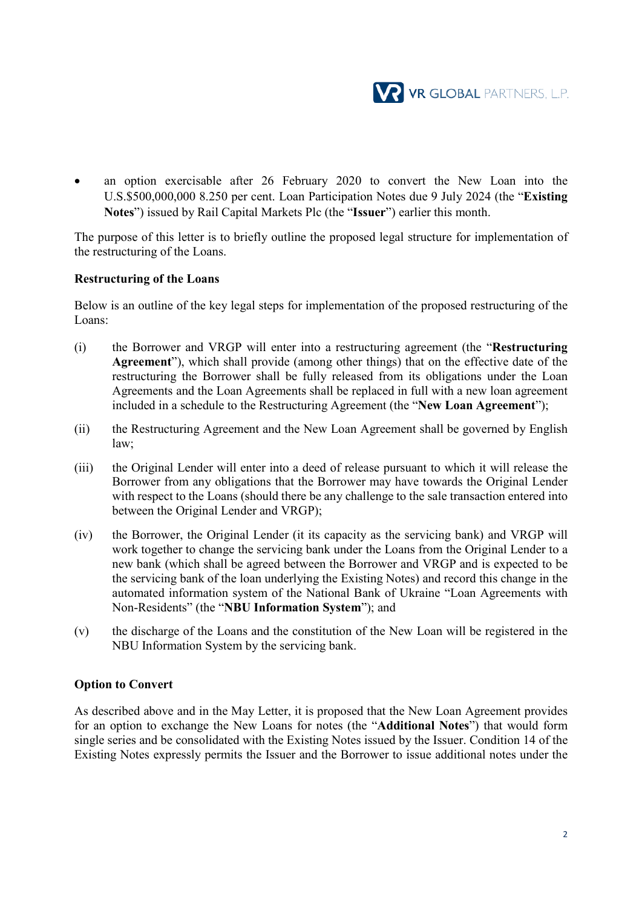

an option exercisable after 26 February 2020 to convert the New Loan into the U.S.\$500,000,000 8.250 per cent. Loan Participation Notes due 9 July 2024 (the "**Existing Notes**") issued by Rail Capital Markets Plc (the "**Issuer**") earlier this month.

The purpose of this letter is to briefly outline the proposed legal structure for implementation of the restructuring of the Loans.

#### **Restructuring of the Loans**

Below is an outline of the key legal steps for implementation of the proposed restructuring of the Loans:

- (i) the Borrower and VRGP will enter into a restructuring agreement (the "**Restructuring Agreement**"), which shall provide (among other things) that on the effective date of the restructuring the Borrower shall be fully released from its obligations under the Loan Agreements and the Loan Agreements shall be replaced in full with a new loan agreement included in a schedule to the Restructuring Agreement (the "**New Loan Agreement**");
- (ii) the Restructuring Agreement and the New Loan Agreement shall be governed by English law;
- (iii) the Original Lender will enter into a deed of release pursuant to which it will release the Borrower from any obligations that the Borrower may have towards the Original Lender with respect to the Loans (should there be any challenge to the sale transaction entered into between the Original Lender and VRGP);
- (iv) the Borrower, the Original Lender (it its capacity as the servicing bank) and VRGP will work together to change the servicing bank under the Loans from the Original Lender to a new bank (which shall be agreed between the Borrower and VRGP and is expected to be the servicing bank of the loan underlying the Existing Notes) and record this change in the automated information system of the National Bank of Ukraine "Loan Agreements with Non-Residents" (the "**NBU Information System**"); and
- (v) the discharge of the Loans and the constitution of the New Loan will be registered in the NBU Information System by the servicing bank.

#### **Option to Convert**

As described above and in the May Letter, it is proposed that the New Loan Agreement provides for an option to exchange the New Loans for notes (the "**Additional Notes**") that would form single series and be consolidated with the Existing Notes issued by the Issuer. Condition 14 of the Existing Notes expressly permits the Issuer and the Borrower to issue additional notes under the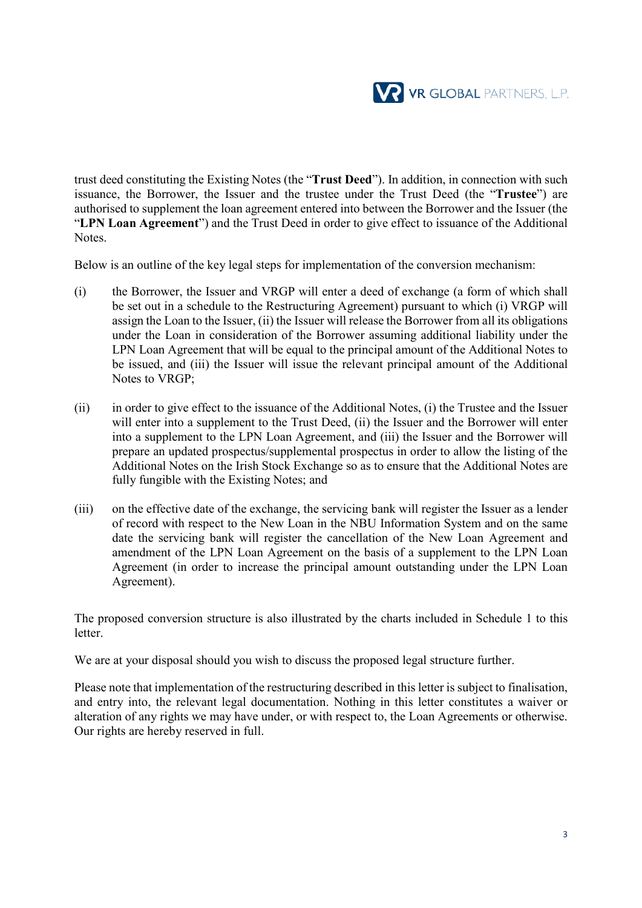

trust deed constituting the Existing Notes (the "**Trust Deed**"). In addition, in connection with such issuance, the Borrower, the Issuer and the trustee under the Trust Deed (the "**Trustee**") are authorised to supplement the loan agreement entered into between the Borrower and the Issuer (the "**LPN Loan Agreement**") and the Trust Deed in order to give effect to issuance of the Additional Notes.

Below is an outline of the key legal steps for implementation of the conversion mechanism:

- (i) the Borrower, the Issuer and VRGP will enter a deed of exchange (a form of which shall be set out in a schedule to the Restructuring Agreement) pursuant to which (i) VRGP will assign the Loan to the Issuer, (ii) the Issuer will release the Borrower from all its obligations under the Loan in consideration of the Borrower assuming additional liability under the LPN Loan Agreement that will be equal to the principal amount of the Additional Notes to be issued, and (iii) the Issuer will issue the relevant principal amount of the Additional Notes to VRGP;
- (ii) in order to give effect to the issuance of the Additional Notes, (i) the Trustee and the Issuer will enter into a supplement to the Trust Deed, (ii) the Issuer and the Borrower will enter into a supplement to the LPN Loan Agreement, and (iii) the Issuer and the Borrower will prepare an updated prospectus/supplemental prospectus in order to allow the listing of the Additional Notes on the Irish Stock Exchange so as to ensure that the Additional Notes are fully fungible with the Existing Notes; and
- (iii) on the effective date of the exchange, the servicing bank will register the Issuer as a lender of record with respect to the New Loan in the NBU Information System and on the same date the servicing bank will register the cancellation of the New Loan Agreement and amendment of the LPN Loan Agreement on the basis of a supplement to the LPN Loan Agreement (in order to increase the principal amount outstanding under the LPN Loan Agreement).

The proposed conversion structure is also illustrated by the charts included in Schedule 1 to this **letter** 

We are at your disposal should you wish to discuss the proposed legal structure further.

Please note that implementation of the restructuring described in this letter is subject to finalisation, and entry into, the relevant legal documentation. Nothing in this letter constitutes a waiver or alteration of any rights we may have under, or with respect to, the Loan Agreements or otherwise. Our rights are hereby reserved in full.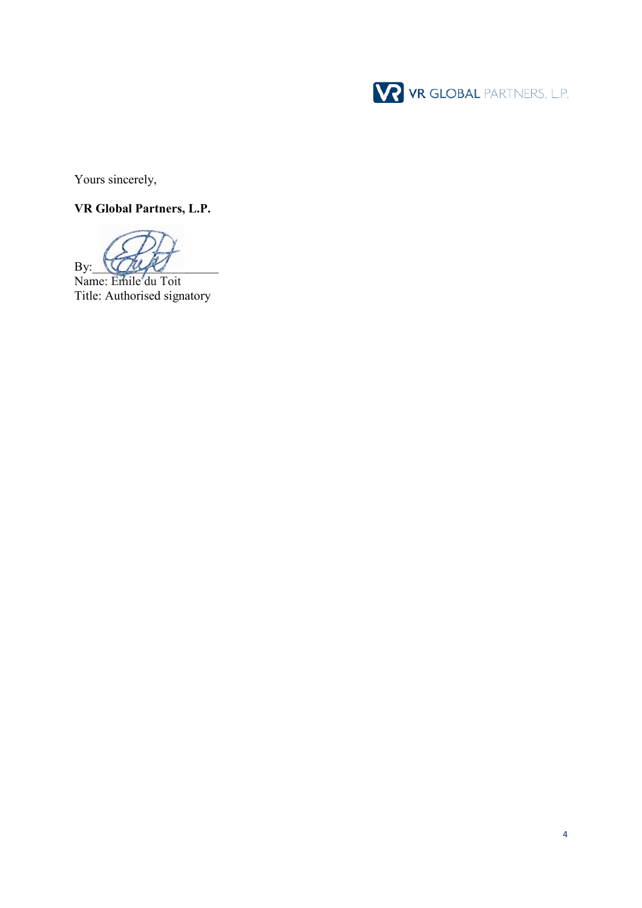

Yours sincerely,

# **VR Global Partners, L.P.**

 $By:$ 

Name: Emile du Toit Title: Authorised signatory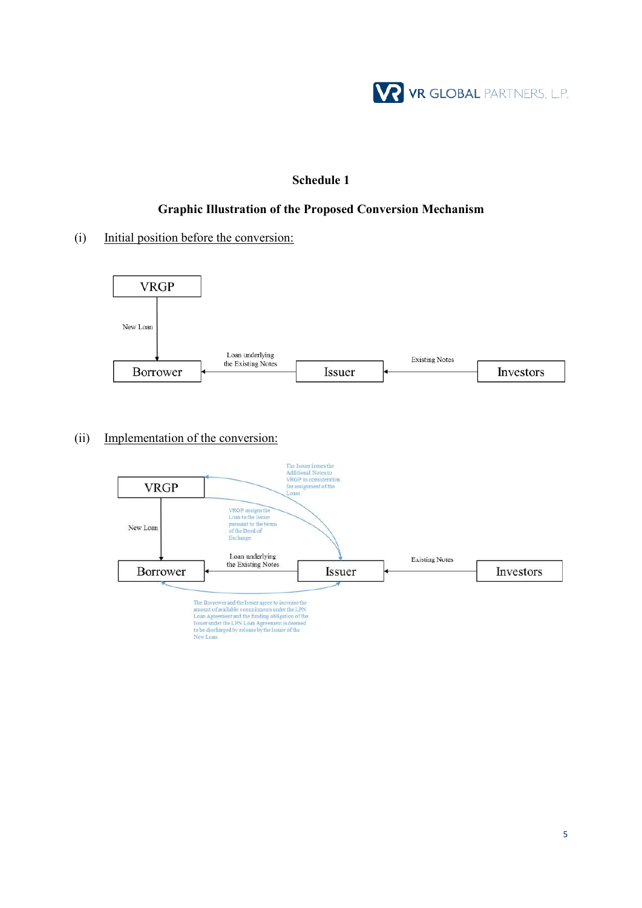

### **Schedule 1**

### **Graphic Illustration of the Proposed Conversion Mechanism**

(i) Initial position before the conversion:



(ii) Implementation of the conversion: